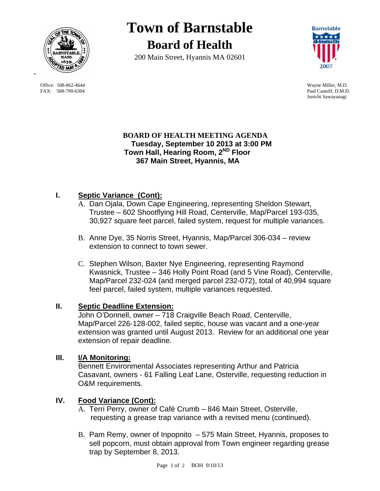

 Office: 508-862-4644 Wayne Miller, M.D. FAX: 508-790-6304 Paul Canniff, D.M.D.

# **Town of Barnstable Board of Health**

200 Main Street, Hyannis MA 02601



Junichi Sawayanagi

### **BOARD OF HEALTH MEETING AGENDA Tuesday, September 10 2013 at 3:00 PM Town Hall, Hearing Room, 2ND Floor 367 Main Street, Hyannis, MA**

# **I. Septic Variance (Cont):**

- A. Dan Ojala, Down Cape Engineering, representing Sheldon Stewart, Trustee – 602 Shootflying Hill Road, Centerville, Map/Parcel 193-035, 30,927 square feet parcel, failed system, request for multiple variances.
- B. Anne Dye, 35 Norris Street, Hyannis, Map/Parcel 306-034 review extension to connect to town sewer.
- C. Stephen Wilson, Baxter Nye Engineering, representing Raymond Kwasnick, Trustee – 346 Holly Point Road (and 5 Vine Road), Centerville, Map/Parcel 232-024 (and merged parcel 232-072), total of 40,994 square feel parcel, failed system, multiple variances requested.

## **II. Septic Deadline Extension:**

John O'Donnell, owner – 718 Craigville Beach Road, Centerville, Map/Parcel 226-128-002, failed septic, house was vacant and a one-year extension was granted until August 2013. Review for an additional one year extension of repair deadline.

### **III. I/A Monitoring:**

Bennett Environmental Associates representing Arthur and Patricia Casavant, owners - 61 Falling Leaf Lane, Osterville, requesting reduction in O&M requirements.

### **IV. Food Variance (Cont):**

- A. Terri Perry, owner of Café Crumb 846 Main Street, Osterville, requesting a grease trap variance with a revised menu (continued).
- B. Pam Remy, owner of Inpopnito 575 Main Street, Hyannis, proposes to sell popcorn, must obtain approval from Town engineer regarding grease trap by September 8, 2013.